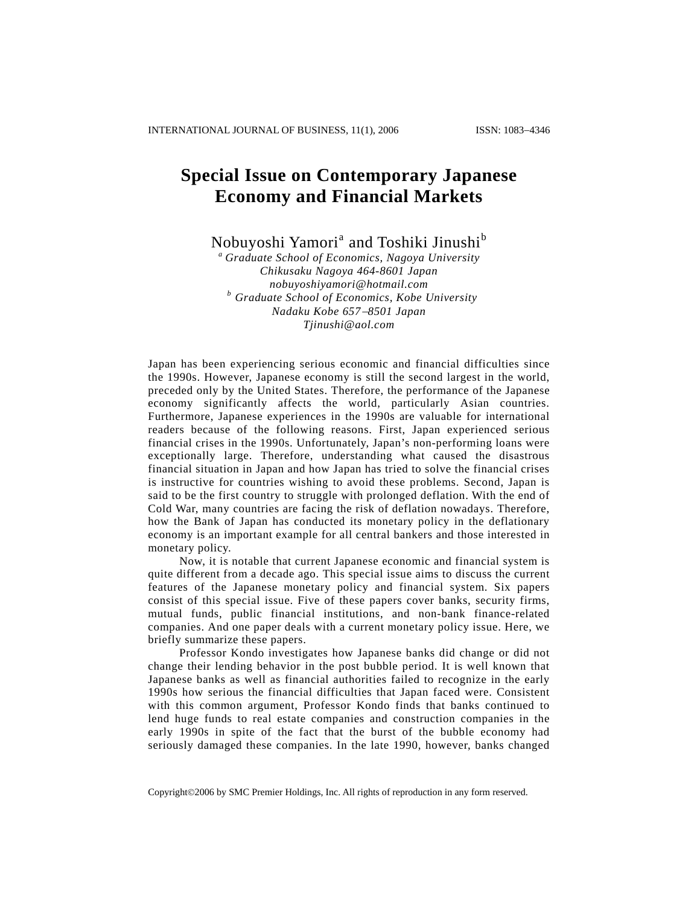## **Special Issue on Contemporary Japanese Economy and Financial Markets**

Nobuyoshi Yamori<sup>a</sup> and Toshiki Jinushi<sup>b</sup>

*a Graduate School of Economics, Nagoya University Chikusaku Nagoya 464-8601 Japan nobuyoshiyamori@hotmail.com b Graduate School of Economics, Kobe University Nadaku Kobe 657*−*8501 Japan Tjinushi@aol.com*

Japan has been experiencing serious economic and financial difficulties since the 1990s. However, Japanese economy is still the second largest in the world, preceded only by the United States. Therefore, the performance of the Japanese economy significantly affects the world, particularly Asian countries. Furthermore, Japanese experiences in the 1990s are valuable for international readers because of the following reasons. First, Japan experienced serious financial crises in the 1990s. Unfortunately, Japan's non-performing loans were exceptionally large. Therefore, understanding what caused the disastrous financial situation in Japan and how Japan has tried to solve the financial crises is instructive for countries wishing to avoid these problems. Second, Japan is said to be the first country to struggle with prolonged deflation. With the end of Cold War, many countries are facing the risk of deflation nowadays. Therefore, how the Bank of Japan has conducted its monetary policy in the deflationary economy is an important example for all central bankers and those interested in monetary policy.

Now, it is notable that current Japanese economic and financial system is quite different from a decade ago. This special issue aims to discuss the current features of the Japanese monetary policy and financial system. Six papers consist of this special issue. Five of these papers cover banks, security firms, mutual funds, public financial institutions, and non-bank finance-related companies. And one paper deals with a current monetary policy issue. Here, we briefly summarize these papers.

Professor Kondo investigates how Japanese banks did change or did not change their lending behavior in the post bubble period. It is well known that Japanese banks as well as financial authorities failed to recognize in the early 1990s how serious the financial difficulties that Japan faced were. Consistent with this common argument, Professor Kondo finds that banks continued to lend huge funds to real estate companies and construction companies in the early 1990s in spite of the fact that the burst of the bubble economy had seriously damaged these companies. In the late 1990, however, banks changed

Copyright©2006 by SMC Premier Holdings, Inc. All rights of reproduction in any form reserved.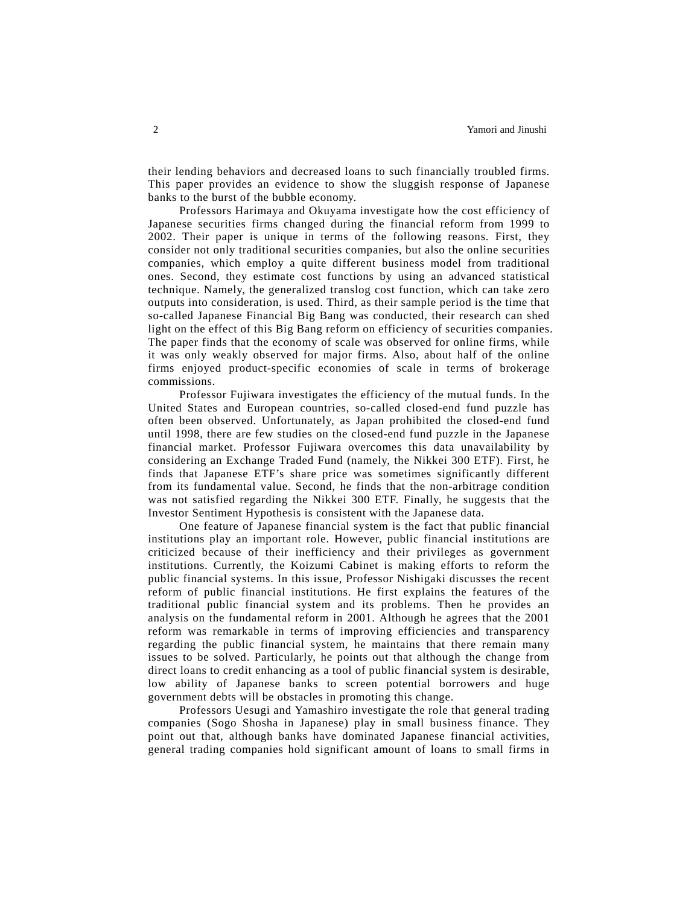their lending behaviors and decreased loans to such financially troubled firms. This paper provides an evidence to show the sluggish response of Japanese banks to the burst of the bubble economy.

Professors Harimaya and Okuyama investigate how the cost efficiency of Japanese securities firms changed during the financial reform from 1999 to 2002. Their paper is unique in terms of the following reasons. First, they consider not only traditional securities companies, but also the online securities companies, which employ a quite different business model from traditional ones. Second, they estimate cost functions by using an advanced statistical technique. Namely, the generalized translog cost function, which can take zero outputs into consideration, is used. Third, as their sample period is the time that so-called Japanese Financial Big Bang was conducted, their research can shed light on the effect of this Big Bang reform on efficiency of securities companies. The paper finds that the economy of scale was observed for online firms, while it was only weakly observed for major firms. Also, about half of the online firms enjoyed product-specific economies of scale in terms of brokerage commissions.

Professor Fujiwara investigates the efficiency of the mutual funds. In the United States and European countries, so-called closed-end fund puzzle has often been observed. Unfortunately, as Japan prohibited the closed-end fund until 1998, there are few studies on the closed-end fund puzzle in the Japanese financial market. Professor Fujiwara overcomes this data unavailability by considering an Exchange Traded Fund (namely, the Nikkei 300 ETF). First, he finds that Japanese ETF's share price was sometimes significantly different from its fundamental value. Second, he finds that the non-arbitrage condition was not satisfied regarding the Nikkei 300 ETF. Finally, he suggests that the Investor Sentiment Hypothesis is consistent with the Japanese data.

One feature of Japanese financial system is the fact that public financial institutions play an important role. However, public financial institutions are criticized because of their inefficiency and their privileges as government institutions. Currently, the Koizumi Cabinet is making efforts to reform the public financial systems. In this issue, Professor Nishigaki discusses the recent reform of public financial institutions. He first explains the features of the traditional public financial system and its problems. Then he provides an analysis on the fundamental reform in 2001. Although he agrees that the 2001 reform was remarkable in terms of improving efficiencies and transparency regarding the public financial system, he maintains that there remain many issues to be solved. Particularly, he points out that although the change from direct loans to credit enhancing as a tool of public financial system is desirable, low ability of Japanese banks to screen potential borrowers and huge government debts will be obstacles in promoting this change.

Professors Uesugi and Yamashiro investigate the role that general trading companies (Sogo Shosha in Japanese) play in small business finance. They point out that, although banks have dominated Japanese financial activities, general trading companies hold significant amount of loans to small firms in